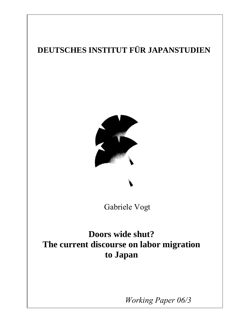# **DEUTSCHES INSTITUT FÜR JAPANSTUDIEN**



## Gabriele Vogt

Harald Conrad

# **Doors wide shut? The current discourse on labor migration to Japan**

1 *Working Paper 06/3*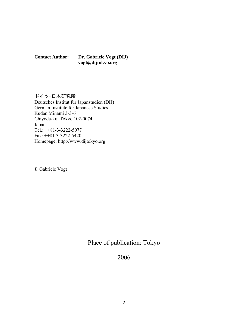**Contact Author: Dr. Gabriele Vogt (DIJ) vogt@dijtokyo.org** 

### ドイツ-日本研究所

Deutsches Institut für Japanstudien (DIJ) German Institute for Japanese Studies Kudan Minami 3-3-6 Chiyoda-ku, Tokyo 102-0074 Japan Tel.: ++81-3-3222-5077 Fax: ++81-3-3222-5420 Homepage: http://www.dijtokyo.org

© Gabriele Vogt

Place of publication: Tokyo

2006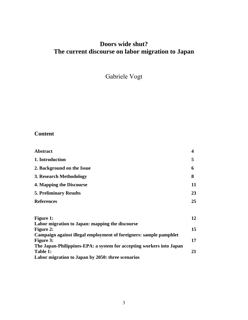## **Doors wide shut? The current discourse on labor migration to Japan**

Gabriele Vogt

### **Content**

| <b>Abstract</b>                                                                        | $\overline{\mathbf{4}}$ |
|----------------------------------------------------------------------------------------|-------------------------|
| 1. Introduction                                                                        | 5                       |
| 2. Background on the Issue                                                             | 6                       |
| 3. Research Methodology                                                                | 8                       |
| 4. Mapping the Discourse                                                               | 11                      |
| <b>5. Preliminary Results</b>                                                          | 23                      |
| <b>References</b>                                                                      | 25                      |
| <b>Figure 1:</b>                                                                       | 12                      |
| Labor migration to Japan: mapping the discourse                                        |                         |
| <b>Figure 2:</b><br>Campaign against illegal employment of foreigners: sample pamphlet | 15                      |
| <b>Figure 3:</b>                                                                       | 17                      |
| The Japan-Philippines-EPA: a system for accepting workers into Japan                   |                         |
| Table 1:                                                                               | 21                      |
| Labor migration to Japan by 2050: three scenarios                                      |                         |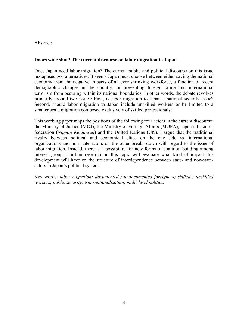#### Abstract:

#### **Doors wide shut? The current discourse on labor migration to Japan**

Does Japan need labor migration? The current public and political discourse on this issue juxtaposes two alternatives: It seems Japan must choose between either saving the national economy from the negative impacts of an ever shrinking workforce, a function of recent demographic changes in the country, or preventing foreign crime and international terrorism from occuring within its national boundaries. In other words, the debate revolves primarily around two issues: First, is labor migration to Japan a national security issue? Second, should labor migration to Japan include unskilled workers or be limited to a smaller scale migration composed exclusively of skilled professionals?

This working paper maps the positions of the following four actors in the current discourse: the Ministry of Justice (MOJ), the Ministry of Foreign Affairs (MOFA), Japan's business federation (*Nippon Keidanren*) and the United Nations (UN). I argue that the traditional rivalry between political and economical elites on the one side vs. international organizations and non-state actors on the other breaks down with regard to the issue of labor migration. Instead, there is a possibility for new forms of coalition building among interest groups. Further research on this topic will evaluate what kind of impact this development will have on the structure of interdependence between state- and non-stateactors in Japan's political system.

Key words: *labor migration; documented / undocumented foreigners; skilled / unskilled workers; public security; transnationalization; multi-level politics.*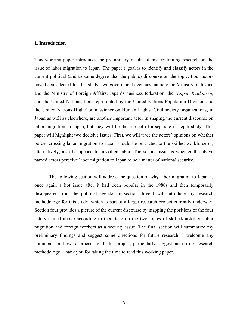#### **1. Introduction**

This working paper introduces the preliminary results of my continuing research on the issue of labor migration to Japan. The paper's goal is to identify and classify actors in the current political (and to some degree also the public) discourse on the topic. Four actors have been selected for this study: two government agencies, namely the Ministry of Justice and the Ministry of Foreign Affairs; Japan's business federation, the *Nippon Keidanren*; and the United Nations, here represented by the United Nations Population Division and the United Nations High Commissioner on Human Rights. Civil society organizations, in Japan as well as elsewhere, are another important actor in shaping the current discourse on labor migration to Japan, but they will be the subject of a separate in-depth study. This paper will highlight two decisive issues: First, we will trace the actors' opinions on whether border-crossing labor migration to Japan should be restricted to the skilled workforce or, alternatively, also be opened to unskilled labor. The second issue is whether the above named actors perceive labor migration to Japan to be a matter of national security.

The following section will address the question of why labor migration to Japan is once again a hot issue after it had been popular in the 1980s and then temporarily disappeared from the political agenda. In section three I will introduce my research methodology for this study, which is part of a larger research project currently underway. Section four provides a picture of the current discourse by mapping the positions of the four actors named above according to their take on the two topics of skilled/unskilled labor migration and foreign workers as a security issue. The final section will summarize my preliminary findings and suggest some directions for future research. I welcome any comments on how to proceed with this project, particularly suggestions on my research methodology. Thank you for taking the time to read this working paper.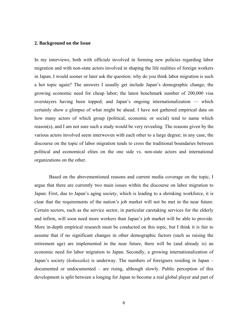#### **2. Background on the Issue**

In my interviews, both with officials involved in forming new policies regarding labor migration and with non-state actors involved in shaping the life realities of foreign workers in Japan, I would sooner or later ask the question: why do you think labor migration is such a hot topic again? The answers I usually get include Japan's demographic change; the growing economic need for cheap labor; the latest benchmark number of 200,000 visa overstayers having been topped; and Japan's ongoing internationalization — which certainly show a glimpse of what might be ahead. I have not gathered empirical data on how many actors of which group (political, economic or social) tend to name which reason(s), and I am not sure such a study would be very revealing. The reasons given by the various actors involved seem interwoven with each other to a large degree; in any case, the discourse on the topic of labor migration tends to cross the traditional boundaries between political and economical elites on the one side vs. non-state actors and international organizations on the other.

Based on the abovementioned reasons and current media coverage on the topic, I argue that there are currently two main issues within the discourse on labor migration to Japan: First, due to Japan's aging society, which is leading to a shrinking workforce, it is clear that the requirements of the nation's job market will not be met in the near future. Certain sectors, such as the service sector, in particular caretaking services for the elderly and infirm, will soon need more workers than Japan's job market will be able to provide. More in-depth empirical research must be conducted on this topic, but I think it is fair to assume that if no significant changes in other demographic factors (such as raising the retirement age) are implemented in the near future, there will be (and already is) an economic need for labor migration to Japan. Secondly, a growing internationalization of Japan's society (*kokusaika*) is underway. The numbers of foreigners residing in Japan – documented or undocumented – are rising, although slowly. Public perception of this development is split between a longing for Japan to become a real global player and part of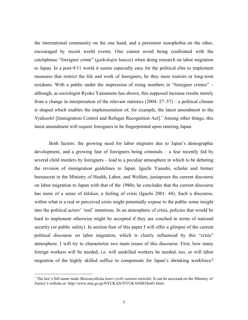the international community on the one hand, and a persistent xenophobia on the other, encouraged by recent world events. One cannot avoid being confronted with the catchphrase "foreigner crime" (*gaikokujin hanzai*) when doing research on labor migration to Japan. In a post-9/11 world it seems especially easy for the political elite to implement measures that restrict the life and work of foreigners, be they mere tourists or long-term residents. With a public under the impression of rising numbers in "foreigner crimes" – although, as sociologist Ryoko Yamamoto has shown, this supposed increase results merely from a change in interpretation of the relevant statistics (2004: 27–57) – a political climate is shaped which enables the implementation of, for example, the latest amendment to the *Nyūkanhō* [Immigration Control and Refugee Recognition Act].<sup>1</sup> Among other things, this latest amendment will require foreigners to be fingerprinted upon entering Japan.

Both factors: the growing need for labor migrants due to Japan's demographic development, and a growing fear of foreigners being criminals – a fear recently fed by several child murders by foreigners – lead to a peculiar atmosphere in which to be debating the revision of immigration guidelines to Japan. Iguchi Yasushi, scholar and former bureaucrat in the Ministry of Health, Labor, and Welfare, juxtaposes the current discourse on labor migration to Japan with that of the 1980s; he concludes that the current discourse has more of a sense of *kikikan*, a feeling of crisis (Iguchi 2001: 44). Such a discourse, within what is a real or perceived crisis might potentially expose to the public some insight into the political actors' 'real' intentions. In an atmosphere of crisis, policies that would be hard to implement otherwise might be accepted if they are couched in terms of national security (or public safety). In section four of this paper I will offer a glimpse of the current political discourse on labor migration, which is clearly influenced by this "crisis" atmosphere. I will try to characterize two main issues of this discourse. First, how many foreign workers will be needed, i.e. will unskilled workers be needed, too, or will labor migration of the highly skilled suffice to compensate for Japan's shrinking workforce?

1

<sup>1</sup> The law's full name reads *Shutsunyūkoku kanri oyobi nanmin ninteihō*. It can be accessed on the Ministry of Justice's website at: http://www.moj.go.jp/NYUKAN/NYUKANHO/ho01.html .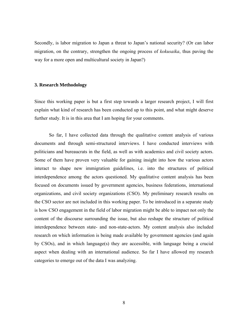Secondly, is labor migration to Japan a threat to Japan's national security? (Or can labor migration, on the contrary, strengthen the ongoing process of *kokusaika*, thus paving the way for a more open and multicultural society in Japan?)

#### **3. Research Methodology**

Since this working paper is but a first step towards a larger research project, I will first explain what kind of research has been conducted up to this point, and what might deserve further study. It is in this area that I am hoping for your comments.

So far, I have collected data through the qualitative content analysis of various documents and through semi-structured interviews. I have conducted interviews with politicians and bureaucrats in the field, as well as with academics and civil society actors. Some of them have proven very valuable for gaining insight into how the various actors interact to shape new immigration guidelines, i.e. into the structures of political interdependence among the actors questioned. My qualitative content analysis has been focused on documents issued by government agencies, business federations, international organizations, and civil society organizations (CSO). My preliminary research results on the CSO sector are not included in this working paper. To be introduced in a separate study is how CSO engagement in the field of labor migration might be able to impact not only the content of the discourse surrounding the issue, but also reshape the structure of political interdependence between state- and non-state-actors. My content analysis also included research on which information is being made available by government agencies (and again by CSOs), and in which language(s) they are accessible, with language being a crucial aspect when dealing with an international audience. So far I have allowed my research categories to emerge out of the data I was analyzing.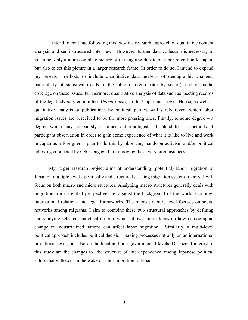I intend to continue following this two-line research approach of qualitative content analysis and semi-structured interviews. However, further data collection is necessary to grasp not only a more complete picture of the ongoing debate on labor migration to Japan, but also to set this picture in a larger research frame. In order to do so, I intend to expand my research methods to include quantitative data analysis of demographic changes, particularly of statistical trends in the labor market (sector by sector), and of media coverage on these issues. Furthermore, quantitative analysis of data such as meeting records of the legal advisory committees (*hōmu-iinkai*) in the Upper and Lower House, as well as qualitative analysis of publications by political parties, will surely reveal which labor migration issues are perceived to be the most pressing ones. Finally, to some degree  $-$  a degree which may not satisfy a trained anthropologist – I intend to use methods of participant observation in order to gain some experience of what it is like to live and work in Japan as a foreigner. I plan to do this by observing hands-on activism and/or political lobbying conducted by CSOs engaged in improving these very circumstances.

My larger research project aims at understanding (potential) labor migration to Japan on multiple levels, politically and structurally. Using migration systems theory, I will focus on both macro and micro stuctures. Analyzing macro structures generally deals with migration from a global perspective, i.e. against the background of the world economy, international relations and legal frameworks. The micro-structure level focuses on social networks among migrants. I aim to combine these two structural approaches by defining and studying selected analytical criteria, which allows me to focus on how demographic change in industrialized nations can affect labor migration . Similarly, a multi-level political approach includes political decision-making processes not only on an international or national level, but also on the local and non-governmental levels. Of special interest to this study are the changes to the structure of interdependence among Japanese political actors that willoccur in the wake of labor migration to Japan .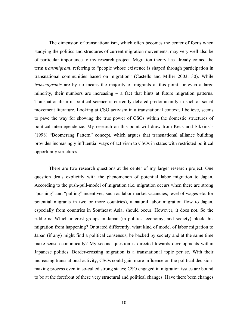The dimension of transnationalism, which often becomes the center of focus when studying the politics and structures of current migration movements, may very well also be of particular importance to my research project. Migration theory has already coined the term *transmigrant*, referring to "people whose existence is shaped through participation in transnational communities based on migration" (Castells and Miller 2003: 30). While *transmigrants* are by no means the majority of migrants at this point, or even a large minority, their numbers are increasing – a fact that hints at future migration patterns. Transnationalism in political science is currently debated predominantly in such as social movement literature. Looking at CSO activism in a transnational context, I believe, seems to pave the way for showing the true power of CSOs within the domestic structures of political interdependence. My research on this point will draw from Keck and Sikkink's (1998) "Boomerang Pattern" concept, which argues that transnational alliance building provides increasingly influential ways of activism to CSOs in states with restricted political opportunity structures.

There are two research questions at the center of my larger research project. One question deals explicitly with the phenomenon of potential labor migration to Japan. According to the push-pull-model of migration (i.e. migration occurs when there are strong "pushing" and "pulling" incentives, such as labor market vacancies, level of wages etc. for potential migrants in two or more countries), a natural labor migration flow to Japan, especially from countries in Southeast Asia, should occur. However, it does not. So the riddle is: Which interest groups in Japan (in politics, economy, and society) block this migration from happening? Or stated differently, what kind of model of labor migration to Japan (if any) might find a political consensus, be backed by society and at the same time make sense economically? My second question is directed towards developments within Japanese politics. Border-crossing migration is a transnational topic per se. With their increasing transnational activity, CSOs could gain more influence on the political decisionmaking process even in so-called strong states; CSO engaged in migration issues are bound to be at the forefront of these very structural and political changes. Have there been changes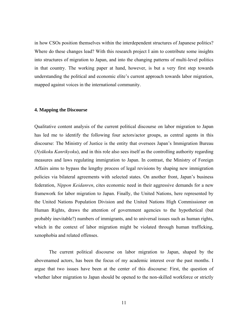in how CSOs position themselves within the interdependent structures of Japanese politics? Where do these changes lead? With this research project I aim to contribute some insights into structures of migration to Japan, and into the changing patterns of multi-level politics in that country. The working paper at hand, however, is but a very first step towards understanding the political and economic elite's current approach towards labor migration, mapped against voices in the international community.

#### **4. Mapping the Discourse**

Qualitative content analysis of the current political discourse on labor migration to Japan has led me to identify the following four actors/actor groups, as central agents in this discourse: The Ministry of Justice is the entity that oversees Japan's Immigration Bureau (*Nyūkoku Kanrikyoku*), and in this role also sees itself as the controlling authority regarding measures and laws regulating immigration to Japan. In contrast, the Ministry of Foreign Affairs aims to bypass the lengthy process of legal revisions by shaping new immigration policies via bilateral agreements with selected states. On another front, Japan's business federation, *Nippon Keidanren*, cites economic need in their aggressive demands for a new framework for labor migration to Japan. Finally, the United Nations, here represented by the United Nations Population Division and the United Nations High Commissioner on Human Rights, draws the attention of government agencies to the hypothetical (but probably inevitable?) numbers of immigrants, and to universal issues such as human rights, which in the context of labor migration might be violated through human trafficking, xenophobia and related offenses.

The current political discourse on labor migration to Japan, shaped by the abovenamed actors, has been the focus of my academic interest over the past months. I argue that two issues have been at the center of this discourse: First, the question of whether labor migration to Japan should be opened to the non-skilled workforce or strictly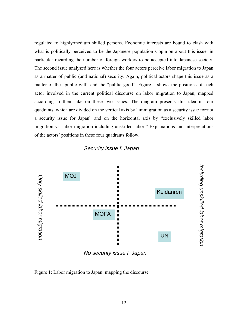regulated to highly/medium skilled persons. Economic interests are bound to clash with what is politically perceived to be the Japanese population's opinion about this issue, in particular regarding the number of foreign workers to be accepted into Japanese society. The second issue analyzed here is whether the four actors perceive labor migration to Japan as a matter of public (and national) security. Again, political actors shape this issue as a matter of the "public will" and the "public good". Figure 1 shows the positions of each actor involved in the current political discourse on labor migration to Japan, mapped according to their take on these two issues. The diagram presents this idea in four quadrants, which are divided on the vertical axis by "immigration as a security issue for/not a security issue for Japan" and on the horizontal axis by "exclusively skilled labor migration vs. labor migration including unskilled labor." Explanations and interpretations of the actors' positions in these four quadrants follow.





*No security issue f. Japan* 

Figure 1: Labor migration to Japan: mapping the discourse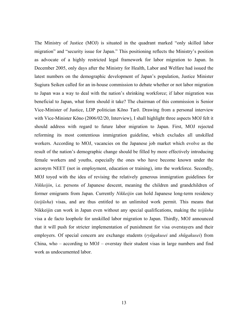The Ministry of Justice (MOJ) is situated in the quadrant marked "only skilled labor migration" and "security issue for Japan." This positioning reflects the Ministry's position as advocate of a highly restricted legal framework for labor migration to Japan. In December 2005, only days after the Ministry for Health, Labor and Welfare had issued the latest numbers on the demographic development of Japan's population, Justice Minister Sugiura Seiken called for an in-house commission to debate whether or not labor migration to Japan was a way to deal with the nation's shrinking workforce; if labor migration was beneficial to Japan, what form should it take? The chairman of this commission is Senior Vice-Minister of Justice, LDP politician Kōno Tarō. Drawing from a personal interview with Vice-Minister Kōno (2006/02/20, Interview), I shall highlight three aspects MOJ felt it should address with regard to future labor migration to Japan. First, MOJ rejected reforming its most contentious immigration guideline, which excludes all unskilled workers. According to MOJ, vacancies on the Japanese job market which evolve as the result of the nation's demographic change should be filled by more effectively introducing female workers and youths, especially the ones who have become known under the acronym NEET (not in employment, education or training), into the workforce. Secondly, MOJ toyed with the idea of revising the relatively generous immigration guidelines for *Nikkeijin*, i.e. persons of Japanese descent, meaning the children and grandchildren of former emigrants from Japan. Currently *Nikkeijin* can hold Japanese long-term residency (*teijūsha*) visas, and are thus entitled to an unlimited work permit. This means that Nikkeijin can work in Japan even without any special qualifications, making the *teijūsha* visa a de facto loophole for unskilled labor migration to Japan. Thirdly, MOJ announced that it will push for stricter implementation of punishment for visa overstayers and their employers. Of special concern are exchange students (*ryūgakusei* and *shūgakusei*) from China, who – according to MOJ – overstay their student visas in large numbers and find work as undocumented labor.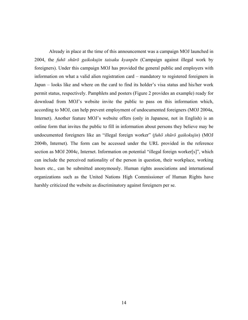Already in place at the time of this announcement was a campaign MOJ launched in 2004, the *fuhō shūrō gaikokujin taisaku kyanpēn* (Campaign against illegal work by foreigners). Under this campaign MOJ has provided the general public and employers with information on what a valid alien registration card – mandatory to registered foreigners in Japan – looks like and where on the card to find its holder's visa status and his/her work permit status, respectively. Pamphlets and posters (Figure 2 provides an example) ready for download from MOJ's website invite the public to pass on this information which, according to MOJ, can help prevent employment of undocumented foreigners (MOJ 2004a, Internet). Another feature MOJ's website offers (only in Japanese, not in English) is an online form that invites the public to fill in information about persons they believe may be undocumented foreigners like an "illegal foreign worker" (*fuhō shūrō gaikokujin*) (MOJ 2004b, Internet). The form can be accessed under the URL provided in the reference section as MOJ 2004c, Internet. Information on potential "illegal foreign worker[s]", which can include the perceived nationality of the person in question, their workplace, working hours etc., can be submitted anonymously. Human rights associations and international organizations such as the United Nations High Commissioner of Human Rights have harshly criticized the website as discriminatory against foreigners per se.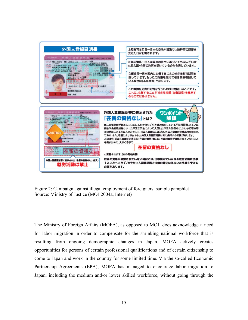

Figure 2: Campaign against illegal employment of foreigners: sample pamphlet Source: Ministry of Justice (MOJ 2004a, Internet)

The Ministry of Foreign Affairs (MOFA), as opposed to MOJ, does acknowledge a need for labor migration in order to compensate for the shrinking national workforce that is resulting from ongoing demographic changes in Japan. MOFA actively creates opportunities for persons of certain professional qualifications and of certain citizenship to come to Japan and work in the country for some limited time. Via the so-called Economic Partnership Agreements (EPA), MOFA has managed to encourage labor migration to Japan, including the medium and/or lower skilled workforce, without going through the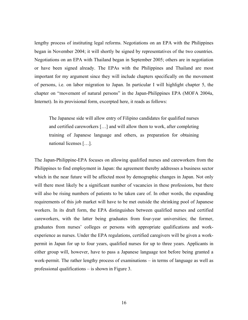lengthy process of instituting legal reforms. Negotiations on an EPA with the Philippines began in November 2004; it will shortly be signed by representatives of the two countries. Negotiations on an EPA with Thailand began in September 2005; others are in negotiation or have been signed already. The EPAs with the Philippines and Thailand are most important for my argument since they will include chapters specifically on the movement of persons, i.e. on labor migration to Japan. In particular I will highlight chapter 5, the chapter on "movement of natural persons" in the Japan-Philippines EPA (MOFA 2004a, Internet). In its provisional form, excerpted here, it reads as follows:

The Japanese side will allow entry of Filipino candidates for qualified nurses and certified careworkers […] and will allow them to work, after completing training of Japanese language and others, as preparation for obtaining national licenses […].

The Japan-Philippine-EPA focuses on allowing qualified nurses and careworkers from the Philippines to find employment in Japan: the agreement thereby addresses a business sector which in the near future will be affected most by demographic changes in Japan. Not only will there most likely be a significant number of vacancies in these professions, but there will also be rising numbers of patients to be taken care of. In other words, the expanding requirements of this job market will have to be met outside the shrinking pool of Japanese workers. In its draft form, the EPA distinguishes between qualified nurses and certified careworkers, with the latter being graduates from four-year universities; the former, graduates from nurses' colleges or persons with appropriate qualifications and workexperience as nurses. Under the EPA regulations, certified caregivers will be given a workpermit in Japan for up to four years, qualified nurses for up to three years. Applicants in either group will, however, have to pass a Japanese language test before being granted a work-permit. The rather lengthy process of examinations – in terms of language as well as professional qualifications – is shown in Figure 3.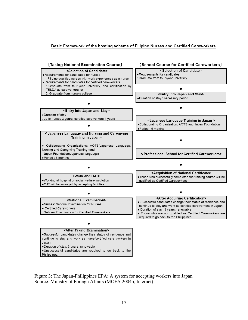#### Basic Framework of the hosting scheme of Filipino Nurses and Certified Careworkers



Figure 3: The Japan-Philippines EPA: A system for accepting workers into Japan Source: Ministry of Foreign Affairs (MOFA 2004b, Internet)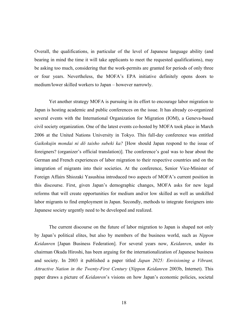Overall, the qualifications, in particular of the level of Japanese language ability (and bearing in mind the time it will take applicants to meet the requested qualifications), may be asking too much, considering that the work-permits are granted for periods of only three or four years. Nevertheless, the MOFA's EPA initiative definitely opens doors to medium/lower skilled workers to Japan – however narrowly.

Yet another strategy MOFA is pursuing in its effort to encourage labor migration to Japan is hosting academic and public conferences on the issue. It has already co-organized several events with the International Organization for Migration (IOM), a Geneva-based civil society organization. One of the latest events co-hosted by MOFA took place in March 2006 at the United Nations University in Tokyo. This full-day conference was entitled *Gaikokujin mondai ni dō taisho subeki ka?* [How should Japan respond to the issue of foreigners? (organizer's official translation)]. The conference's goal was to hear about the German and French experiences of labor migration to their respective countries and on the integration of migrants into their societies. At the conference, Senior Vice-Minister of Foreign Affairs Shiozaki Yasushisa introduced two aspects of MOFA's current position in this discourse. First, given Japan's demographic changes, MOFA asks for new legal reforms that will create opportunities for medium and/or low skilled as well as unskilled labor migrants to find employment in Japan. Secondly, methods to integrate foreigners into Japanese society urgently need to be developed and realized.

The current discourse on the future of labor migration to Japan is shaped not only by Japan's political elites, but also by members of the business world, such as *Nippon Keidanren* [Japan Business Federation]. For several years now, *Keidanren*, under its chairman Okuda Hiroshi, has been arguing for the internationalization of Japanese business and society. In 2003 it published a paper titled *Japan 2025: Envisioning a Vibrant, Attractive Nation in the Twenty-First Century* (*Nippon Keidanren* 2003b, Internet). This paper draws a picture of *Keidanren*'s visions on how Japan's economic policies, societal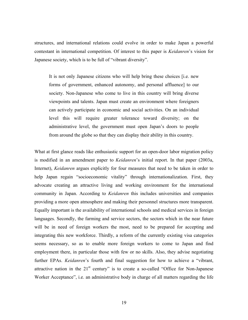structures, and international relations could evolve in order to make Japan a powerful contestant in international competition. Of interest to this paper is *Keidanren*'s vision for Japanese society, which is to be full of "vibrant diversity".

It is not only Japanese citizens who will help bring these choices [i.e. new forms of government, enhanced autonomy, and personal affluence] to our society. Non-Japanese who come to live in this country will bring diverse viewpoints and talents. Japan must create an environment where foreigners can actively participate in economic and social activities. On an individual level this will require greater tolerance toward diversity; on the administrative level, the government must open Japan's doors to people from around the globe so that they can display their ability in this country.

What at first glance reads like enthusiastic support for an open-door labor migration policy is modified in an amendment paper to *Keidanren*'s initial report. In that paper (2003a, Internet), *Keidanren* argues explicitly for four measures that need to be taken in order to help Japan regain "socioeconomic vitality" through internationalization. First, they advocate creating an attractive living and working environment for the international community in Japan. According to *Keidanren* this includes universities and companies providing a more open atmosphere and making their personnel structures more transparent. Equally important is the availability of international schools and medical services in foreign languages. Secondly, the farming and service sectors, the sectors which in the near future will be in need of foreign workers the most, need to be prepared for accepting and integrating this new workforce. Thirdly, a reform of the currently existing visa categories seems necessary, so as to enable more foreign workers to come to Japan and find employment there, in particular those with few or no skills. Also, they advise negotiating further EPAs. *Keidanren*'s fourth and final suggestion for how to achieve a "vibrant, attractive nation in the  $21<sup>st</sup>$  century" is to create a so-called "Office for Non-Japanese" Worker Acceptance", i.e. an administrative body in charge of all matters regarding the life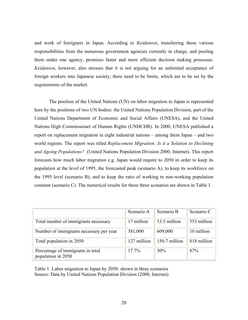and work of foreigners in Japan. According to *Keidanren*, transferring these various responsibilities from the numerous government agencies currently in charge, and pooling them under one agency, promises faster and more efficient decision making processes. *Keidanren*, however, also stresses that it is not arguing for an unlimited acceptance of foreign workers into Japanese society; there need to be limits, which are to be set by the requirements of the market.

The position of the United Nations (UN) on labor migration to Japan is represented here by the positions of two UN bodies: the United Nations Population Division, part of the United Nations Department of Economic and Social Affairs (UNESA), and the United Nations High Commissioner of Human Rights (UNHCHR). In 2000, UNESA published a report on replacement migration in eight industrial nations – among them Japan – and two world regions. The report was titled *Replacement Migration: Is it a Solution to Declining and Ageing Populations?* (United Nations Population Division 2000, Internet). This report forecasts how much labor migration e.g. Japan would require to 2050 in order to keep its population at the level of 1995, the forecasted peak (scenario A); to keep its workforce on the 1995 level (scenario B); and to keep the ratio of working to non-working population constant (scenario C). The numerical results for these three scenarios are shown in Table 1.

|                                                         | Scenario A  | Scenario B    | Scenario C  |
|---------------------------------------------------------|-------------|---------------|-------------|
| Total number of immigrants necessary                    | 17 million  | 33.5 million  | 553 million |
| Number of immigrants necessary per year                 | 381,000     | 609,000       | 10 million  |
| Total population in 2050                                | 127 million | 150.7 million | 818 million |
| Percentage of immigrants in total<br>population in 2050 | 17.7%       | 30%           | 87%         |

Table 1: Labor migration to Japan by 2050: shown in three scenarios Source: Data by United Nations Population Division (2000, Internet)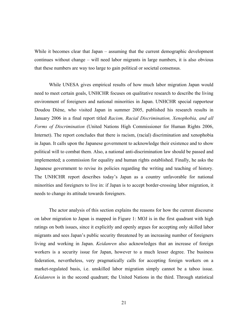While it becomes clear that Japan – assuming that the current demographic development continues without change – will need labor migrants in large numbers, it is also obvious that these numbers are way too large to gain political or societal consensus.

While UNESA gives empirical results of how much labor migration Japan would need to meet certain goals, UNHCHR focuses on qualitative research to describe the living environment of foreigners and national minorities in Japan. UNHCHR special rapporteur Doudou Diène, who visited Japan in summer 2005, published his research results in January 2006 in a final report titled *Racism, Racial Discrimination, Xenophobia, and all Forms of Discrimination* (United Nations High Commissioner for Human Rights 2006, Internet). The report concludes that there is racism, (racial) discrimination and xenophobia in Japan. It calls upon the Japanese government to acknowledge their existence and to show political will to combat them. Also, a national anti-discrimination law should be passed and implemented; a commission for equality and human rights established. Finally, he asks the Japanese government to revise its policies regarding the writing and teaching of history. The UNHCHR report describes today's Japan as a country unfavorable for national minorities and foreigners to live in: if Japan is to accept border-crossing labor migration, it needs to change its attitude towards foreigners.

The actor analysis of this section explains the reasons for how the current discourse on labor migration to Japan is mapped in Figure 1: MOJ is in the first quadrant with high ratings on both issues, since it explicitly and openly argues for accepting only skilled labor migrants and sees Japan's public security threatened by an increasing number of foreigners living and working in Japan. *Keidanren* also acknowledges that an increase of foreign workers is a security issue for Japan, however to a much lesser degree. The business federation, nevertheless, very pragmatically calls for accepting foreign workers on a market-regulated basis, i.e. unskilled labor migration simply cannot be a taboo issue. *Keidanren* is in the second quadrant; the United Nations in the third. Through statistical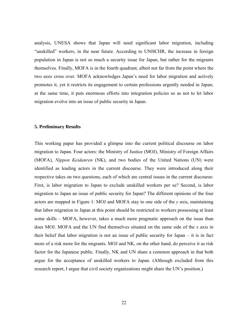analysis, UNESA shows that Japan will need significant labor migration, including "unskilled" workers, in the near future. According to UNHCHR, the increase in foreign population in Japan is not so much a security issue for Japan, but rather for the migrants themselves. Finally, MOFA is in the fourth quadrant, albeit not far from the point where the two axes cross over. MOFA acknowledges Japan's need for labor migration and actively promotes it, yet it restricts its engagement to certain professions urgently needed in Japan; at the same time, it puts enormous efforts into integration policies so as not to let labor migration evolve into an issue of public security in Japan.

#### **5. Preliminary Results**

This working paper has provided a glimpse into the current political discourse on labor migration to Japan. Four actors: the Ministry of Justice (MOJ), Ministry of Foreign Affairs (MOFA), *Nippon Keidanren* (NK), and two bodies of the United Nations (UN) were identified as leading actors in the current discourse. They were introduced along their respective takes on two questions, each of which are central issues in the current discourse: First, is labor migration to Japan to exclude unskilled workers per se? Second, is labor migration to Japan an issue of public security for Japan? The different opinions of the four actors are mapped in Figure 1: MOJ and MOFA stay to one side of the *y* axis, maintaining that labor migration to Japan at this point should be restricted to workers possessing at least some skills – MOFA, however, takes a much more pragmatic approach on the issue than does MOJ. MOFA and the UN find themselves situated on the same side of the *x* axis in their belief that labor migration is not an issue of public security for Japan – it is in fact more of a risk more for the migrants. MOJ and NK, on the other hand, do perceive it as risk factor for the Japanese public. Finally, NK and UN share a common approach in that both argue for the acceptance of unskilled workers to Japan. (Although excluded from this research report, I argue that civil society organizations might share the UN's position.)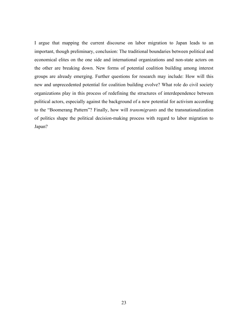I argue that mapping the current discourse on labor migration to Japan leads to an important, though preliminary, conclusion: The traditional boundaries between political and economical elites on the one side and international organizations and non-state actors on the other are breaking down. New forms of potential coalition building among interest groups are already emerging. Further questions for research may include: How will this new and unprecedented potential for coalition building evolve? What role do civil society organizations play in this process of redefining the structures of interdependence between political actors, especially against the background of a new potential for activism according to the "Boomerang Pattern"? Finally, how will *transmigrants* and the transnationalization of politics shape the political decision-making process with regard to labor migration to Japan?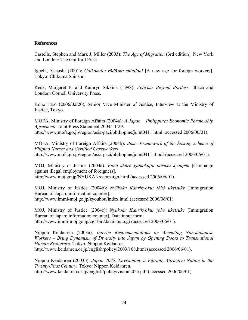#### **References**

Castells, Stephen and Mark J. Miller (2003): *The Age of Migration* (3rd edition). New York and London: The Guilford Press.

Iguchi, Yasushi (2001): *Gaikokujin rōdōsha shinjidai* [A new age for foreign workers]. Tokyo: Chikuma Shinsho.

Keck, Margaret E. and Kathryn Sikkink (1998): *Activists Beyond Borders*. Ithaca and London: Cornell University Press.

Kōno Tarō (2006/02/20), Senior Vice Minister of Justice, Interview at the Ministry of Justice, Tokyo.

MOFA, Ministry of Foreign Affairs (2004a): *A Japan – Philippines Economic Partnership Agreement*. Joint Press Statement 2004/11/29. http://www.mofa.go.jp/region/asia-paci/philippine/joint0411.html (accessed 2006/06/01).

MOFA, Ministry of Foreign Affairs (2004b): *Basic Framework of the hosting scheme of Filipino Nurses and Certified Careworkers*. http://www.mofa.go.jp/region/asia-paci/philippine/joint0411-3.pdf (accessed 2006/06/01).

MOJ, Ministry of Justice (2004a): *Fuhō shūrō gaikokujin taisaku kyanpēn* [Campaign against illegal employment of foreigners]. http://www.moj.go.jp/NYUKAN/campaign.html (accessed 2006/06/01).

MOJ, Ministry of Justice (2004b): *Nyūkoku Kanrikyoku: jōhō uketsuke* [Immigration Bureau of Japan: information counter]. http://www.immi-moj.go.jp/zyouhou/index.html (accessed 2006/06/01).

MOJ, Ministry of Justice (2004c): *Nyūkoku Kanrikyoku: jōhō uketsuke* [Immigration Bureau of Japan: information counter]. Data input form: http://www.immi-moj.go.jp/cgi-bin/datainput.cgi (accessed 2006/06/01).

Nippon Keidanren (2003a): *Interim Recommendations on Accepting Non-Japanese Workers – Bring Dynamism of Diversity into Japan by Opening Doors to Transnational Human Resources.* Tokyo: Nippon Keidanren. http://www.keidanren.or.jp/english/policy/2003/108.html (accessed 2006/06/01).

Nippon Keidanren (2003b): *Japan 2025. Envisioning a Vibrant, Attractive Nation in the Twenty-First Century.* Tokyo: Nippon Keidanren. http://www.keidanren.or.jp/english/policy/vision2025.pdf (accessed 2006/06/01).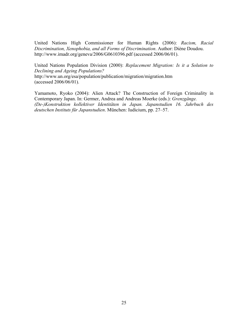United Nations High Commissioner for Human Rights (2006): *Racism, Racial Discrimination, Xenophobia, and all Forms of Discrimination*. Author: Diène Doudou. http://www.imadr.org/geneva/2006/G0610396.pdf (accessed 2006/06/01).

United Nations Population Division (2000): *Replacement Migration: Is it a Solution to Declining and Ageing Populations?*  http://www.un.org/esa/population/publication/migration/migration.htm (accessed 2006/06/01).

Yamamoto, Ryoko (2004): Alien Attack? The Construction of Foreign Criminality in Contemporary Japan. In: Germer, Andrea and Andreas Moerke (eds.): *Grenzgänge. (De-)Konstruktion kollektiver Identitäten in Japan. Japanstudien 16. Jahrbuch des deutschen Instituts für Japanstudien*. München: Iudicium, pp. 27–57.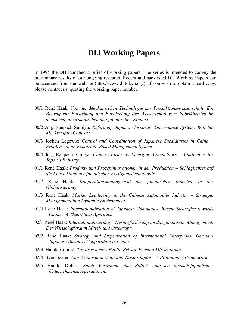### **DIJ Working Papers**

In 1994 the DIJ launched a series of working papers. The series is intended to convey the preliminary results of our ongoing research. Recent and backlisted DIJ Working Papers can be accessed from our website (http://www.dijtokyo.org). If you wish to obtain a hard copy, please contact us, quoting the working paper number.

- 00/1 René Haak: *Von der Mechanischen Technologie zur Produktions-wissenschaft. Ein Beitrag zur Entstehung und Entwicklung der Wissenschaft vom Fabrikbetrieb im deutschen, amerikanischen und japanischen Kontext.*
- 00/2 Jörg Raupach-Sumiya: *Reforming Japan's Corporate Governance System: Will the Markets gain Control?*
- 00/3 Jochen Legewie: *Control and Coordination of Japanese Subsidiaries in China Problems of an Expatriate-Based Management System.*
- 00/4 Jörg Raupach-Sumiya: *Chinese Firms as Emerging Competitors Challenges for Japan's Industry.*
- 01/1 René Haak: *Produkt- und Prozeßinnovationen in der Produktion Schlaglichter auf die Entwicklung der japanischen Fertigungstechnologie.*
- 01/2 René Haak: *Kooperationsmanagement der japanischen Industrie in der Globalisierung.*
- 01/3 René Haak: *Market Leadership in the Chinese Automobile Industry Strategic Management in a Dynamic Environment.*
- 01/4 René Haak: *Internationalization of Japanese Companies. Recent Strategies towards China – A Theoretical Approach -*
- 02/1 René Haak: *Internationalisierung Herausforderung an das japanische Management. Der Wirtschaftsraum Mittel- und Osteuropa*
- 02/2 René Haak: *Strategy and Organization of International Enterprises. German-Japanese Business Cooperation in China.*
- 02/3 Harald Conrad: *Towards a New Public-Private Pension Mix in Japan.*
- 02/4 Sven Saaler: *Pan-Asianism in Meiji and Taishô Japan A Preliminary Framework.*
- 02/5 Harald Dolles: *Spielt Vertrauen eine Rolle? Analysen deutsch-japanischer Unternehmenskooperationen.*